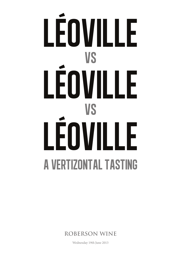# léoville vs léoville vs léoville A VERTIZONTAL TASTING

**ROBERSON WINE**

Wednesday 19th June 2013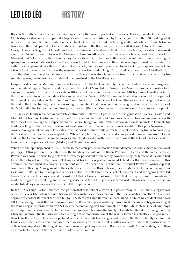## LÉO LÉO LÉO history

Back in the 17th century, the Léoville estate was one of the most important in Bordeaux. It was originally known as the Mont-Moytié estate and encompassed a large swathe of marshland (drained by Dutch engineers in the 1600s) along what is today the Paulliac / St Julien border on the left bank of the River Gironde. Following a bitter inheritance dispute between two sisters, the estate passed in to the hands of a President in the Bordeaux parliament called Blaise Antoine Alexandre de Gascq. He was the Seigneur of Léoville and, after the claim on the land was settled in his wife's favour, the estate was named after him. One of his four heirs was the Marquis de Las-Cases-Beauvoir (the others were a brother and two sisters of the Marquis), but before any of them could enjoy the spoils of their inheritance, the French Revolution threw an all-mighty spanner in the aristocratic works - the Marquis was forced to flee France and the estate was requisitioned by the state. The authorities had planned on selling the estate off as a whole, but they were persuaded to divide it up, so a quarter was sold to a trio of local businessmen. This was the segment that was later sold to Hugh Barton and became Chateau Léoville-Barton. The other three quarters stayed in limbo because the Marquis was absent, but by the time he died and was succeeded by his son Pierre-Jean, the inheritance included all that remained of the Léoville estate.

Despite the death of the Marquis, things were looking up for the Las Cases family. Pierre-Jean had cast aside his bourgeoisie roots to fight alongside Napoleon and had risen to the rank of Maréchal de Camps (Field Marshall), so the authorities took a relaxed view when he inherited the estate in 1815. Part of it went to his sister Jeanne in 1840, becoming Léoville-Poyferré, the rest remained intact and is today's Chateau Léoville Las Cases. In 1855 the famous classification ranked all three parts of the original Léoville estate as Deuxième Cru Classé (2nd Growths), but it was Las Cases that was widely recognised as being the best of the three. Indeed, the wine was so highly thought of that it was commonly recognised as being the finest wine of the Médoc after the four (at the time) first growths - even (Branne) Mouton was seen as inferior to Las Cases at this point.

The Las Cases family remained in complete control until 1900 when it passed to the next generation - Gabriel, Gaston and Clothilde. Gabriel and Gaston were keen to sell their shares of the estate and thus it was turned in to a holding company, with the three of them taking their respective shares. Gabriel bought out his brother Gaston and was then quick to liquidate his holding, selling his shares to a consortium of local businessmen. One of the shares was bought by Théophile Skawinski, the conscientious general manager of the estate who increased his shareholding over time, while dedicating his life to producing the finest wine that Las Cases was capable of. When Théophile died, his enhanced share passed to son-in-law André Delon and it is the Delon family that are the majority shareholders today, with Jean-Hubert now at the helm of Las Cases and the families other properties Potensac (Médoc) and Nenin (Pomerol).

When the final split happened in 1840, Jeanne immediately passed her portion to her daughter. A couple more generational passings put this portion of the estate into the hands of the wife of the Baron Poyferré de Cères and the name Léoville-Poyferré was born. It wasn't long before the property passed out of the family however, as by 1866 financial hardship had forced them to sell up to the Baron d'Erlanger and his business partner Armand Lalande (a Bordeaux negociant). This arrangement continued (via another generation) until 1920, when the Cuvelier family bought Poyferré - ownership that continues to this day. Management of the estate was entrusted to Roger Delon (uncle of Michel Delon who managed Las Cases until 1996) and for many years the wines performed well. Over time, a lack of investment and the ageing Delon led to a decline in quality at Poyferré and it wasn't until Didier Cuvelier took over in 1978 that the required improvements were made. A program of rebuilding and replanting started and the last 30 years have witnessed a steady rise in quality that has reestablished Poyferré as a worthy member of the 'super seconds'.

In the 1820s Hugh Barton inherited the portion that was sold at auction. He passed away in 1854, but his legacy was cemented a year later when Léoville Barton was designated as a deuxième cru in the 1855 classification. The 20th century began with another Barton at the helm but by 1927 Bertram Hugh Barton had been killed in a hunting accident and it was left to the young Ronald Barton to assume control. Ronald's nephew Anthony moved to Bordeaux and began working at the family negocient business Barton & Guestier, before taking over from Ronald with the 1983 vintage. One of Anthony's most important decisions was to hire a new estate manager, bringing the highly rated Michel Raoult from neighbouring Château Lagrange. The 80s also witnessed a program of modernisation at the winery (which is actually at Langoa rather than Léoville-Barton). The château pictured on the Léoville labels is Langoa and because the Barton family had lived at Langoa ever since Léoville was purchased, there was never any reason to build another residence. Indeed, the Barton's tenure at their two properties is the longest continuous ownership of any château in Bordeaux and with Anthony's daughter Lillian an important member of the team, that dynasty is set to continue.